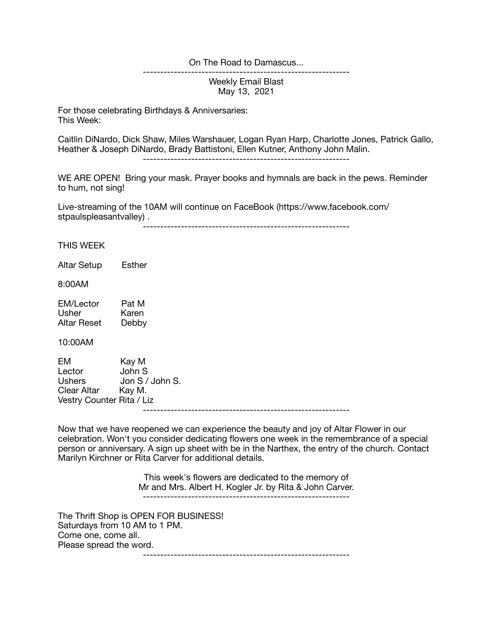## On The Road to Damascus...

Weekly Email Blast May 13, 2021

------------------------------------------------------------

For those celebrating Birthdays & Anniversaries: This Week:

Caitlin DiNardo, Dick Shaw, Miles Warshauer, Logan Ryan Harp, Charlotte Jones, Patrick Gallo, Heather & Joseph DiNardo, Brady Battistoni, Ellen Kutner, Anthony John Malin.

------------------------------------------------------------

WE ARE OPEN! Bring your mask. Prayer books and hymnals are back in the pews. Reminder to hum, not sing!

Live-streaming of the 10AM will continue on FaceBook (https://www.facebook.com/ stpaulspleasantvalley) .

------------------------------------------------------------

THIS WEEK

Altar Setup Esther

8:00AM

| <b>EM/Lector</b> | Pat M |
|------------------|-------|
| Usher            | Karen |
| Altar Reset      | Debby |

10:00AM

| EM                        | Kay M                |
|---------------------------|----------------------|
| Lector                    | John S               |
| <b>Ushers</b>             | Jon $S /$ John $S$ . |
| Clear Altar               | Kav M.               |
| Vestry Counter Rita / Liz |                      |
|                           |                      |

Now that we have reopened we can experience the beauty and joy of Altar Flower in our celebration. Won't you consider dedicating flowers one week in the remembrance of a special person or anniversary. A sign up sheet with be in the Narthex, the entry of the church. Contact Marilyn Kirchner or Rita Carver for additional details.

> This week's flowers are dedicated to the memory of Mr and Mrs. Albert H. Kogler Jr. by Rita & John Carver. ------------------------------------------------------------

The Thrift Shop is OPEN FOR BUSINESS! Saturdays from 10 AM to 1 PM. Come one, come all. Please spread the word. ------------------------------------------------------------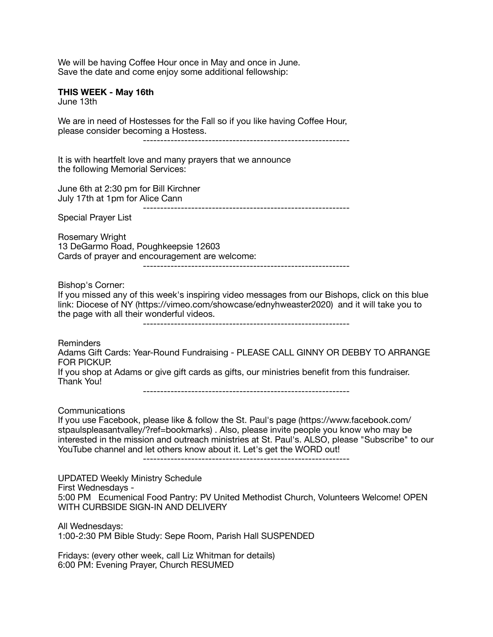We will be having Coffee Hour once in May and once in June. Save the date and come enjoy some additional fellowship:

## **THIS WEEK - May 16th**

June 13th

We are in need of Hostesses for the Fall so if you like having Coffee Hour, please consider becoming a Hostess.

------------------------------------------------------------

It is with heartfelt love and many prayers that we announce the following Memorial Services:

June 6th at 2:30 pm for Bill Kirchner July 17th at 1pm for Alice Cann ------------------------------------------------------------

Special Prayer List

Rosemary Wright 13 DeGarmo Road, Poughkeepsie 12603 Cards of prayer and encouragement are welcome:

------------------------------------------------------------

Bishop's Corner:

If you missed any of this week's inspiring video messages from our Bishops, click on this blue link: Diocese of NY (https://vimeo.com/showcase/ednyhweaster2020) and it will take you to the page with all their wonderful videos.

------------------------------------------------------------

Reminders

Adams Gift Cards: Year-Round Fundraising - PLEASE CALL GINNY OR DEBBY TO ARRANGE FOR PICKUP.

If you shop at Adams or give gift cards as gifts, our ministries benefit from this fundraiser. Thank You!

------------------------------------------------------------

Communications

If you use Facebook, please like & follow the St. Paul's page (https://www.facebook.com/ stpaulspleasantvalley/?ref=bookmarks) . Also, please invite people you know who may be interested in the mission and outreach ministries at St. Paul's. ALSO, please "Subscribe" to our YouTube channel and let others know about it. Let's get the WORD out!

------------------------------------------------------------

UPDATED Weekly Ministry Schedule First Wednesdays - 5:00 PM Ecumenical Food Pantry: PV United Methodist Church, Volunteers Welcome! OPEN WITH CURBSIDE SIGN-IN AND DELIVERY

All Wednesdays: 1:00-2:30 PM Bible Study: Sepe Room, Parish Hall SUSPENDED

Fridays: (every other week, call Liz Whitman for details) 6:00 PM: Evening Prayer, Church RESUMED